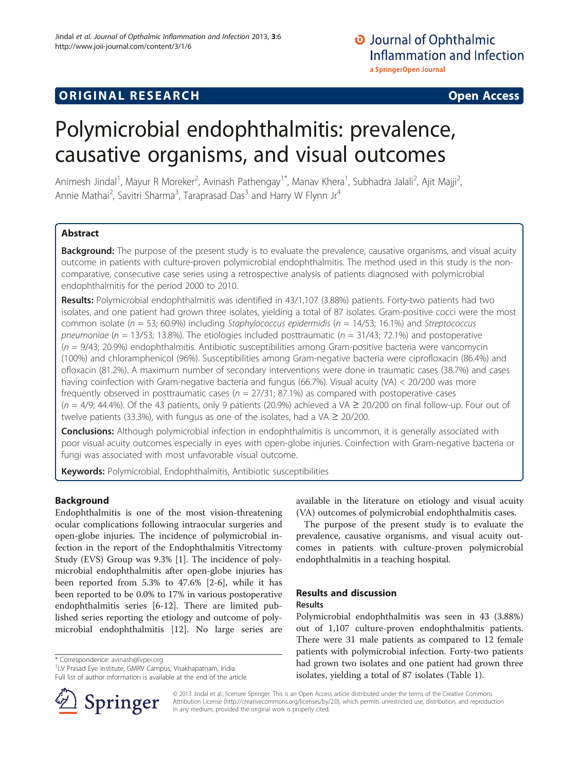# **ORIGINAL RESEARCH CONSUMING ACCESS**

# Polymicrobial endophthalmitis: prevalence, causative organisms, and visual outcomes

Animesh Jindal<sup>1</sup>, Mayur R Moreker<sup>2</sup>, Avinash Pathengay<sup>1\*</sup>, Manav Khera<sup>1</sup>, Subhadra Jalali<sup>2</sup>, Ajit Majji<sup>2</sup> , Annie Mathai<sup>2</sup>, Savitri Sharma<sup>3</sup>, Taraprasad Das<sup>3</sup> and Harry W Flynn Jr<sup>4</sup>

# Abstract

Background: The purpose of the present study is to evaluate the prevalence, causative organisms, and visual acuity outcome in patients with culture-proven polymicrobial endophthalmitis. The method used in this study is the noncomparative, consecutive case series using a retrospective analysis of patients diagnosed with polymicrobial endophthalmitis for the period 2000 to 2010.

Results: Polymicrobial endophthalmitis was identified in 43/1,107 (3.88%) patients. Forty-two patients had two isolates, and one patient had grown three isolates, yielding a total of 87 isolates. Gram-positive cocci were the most common isolate ( $n = 53$ ; 60.9%) including Staphylococcus epidermidis ( $n = 14/53$ ; 16.1%) and Streptococcus pneumoniae ( $n = 13/53$ ; 13.8%). The etiologies included posttraumatic ( $n = 31/43$ ; 72.1%) and postoperative  $(n = 9/43; 20.9%)$  endophthalmitis. Antibiotic susceptibilities among Gram-positive bacteria were vancomycin (100%) and chloramphenicol (96%). Susceptibilities among Gram-negative bacteria were ciprofloxacin (86.4%) and ofloxacin (81.2%). A maximum number of secondary interventions were done in traumatic cases (38.7%) and cases having coinfection with Gram-negative bacteria and fungus (66.7%). Visual acuity (VA) < 20/200 was more frequently observed in posttraumatic cases ( $n = 27/31$ ; 87.1%) as compared with postoperative cases  $(n = 4/9; 44.4\%)$ . Of the 43 patients, only 9 patients (20.9%) achieved a VA  $\geq$  20/200 on final follow-up. Four out of twelve patients (33.3%), with fungus as one of the isolates, had a VA  $\geq$  20/200.

**Conclusions:** Although polymicrobial infection in endophthalmitis is uncommon, it is generally associated with poor visual acuity outcomes especially in eyes with open-globe injuries. Coinfection with Gram-negative bacteria or fungi was associated with most unfavorable visual outcome.

Keywords: Polymicrobial, Endophthalmitis, Antibiotic susceptibilities

# Background

Endophthalmitis is one of the most vision-threatening ocular complications following intraocular surgeries and open-globe injuries. The incidence of polymicrobial infection in the report of the Endophthalmitis Vitrectomy Study (EVS) Group was 9.3% [\[1](#page-5-0)]. The incidence of polymicrobial endophthalmitis after open-globe injuries has been reported from 5.3% to 47.6% [\[2](#page-5-0)-[6\]](#page-5-0), while it has been reported to be 0.0% to 17% in various postoperative endophthalmitis series [[6-12](#page-5-0)]. There are limited published series reporting the etiology and outcome of polymicrobial endophthalmitis [\[12\]](#page-5-0). No large series are

\* Correspondence: [avinash@lvpei.org](mailto:avinash@lvpei.org) <sup>1</sup>

<sup>1</sup>LV Prasad Eye Institute, GMRV Campus, Visakhapatnam, India Full list of author information is available at the end of the article



available in the literature on etiology and visual acuity (VA) outcomes of polymicrobial endophthalmitis cases.

The purpose of the present study is to evaluate the prevalence, causative organisms, and visual acuity outcomes in patients with culture-proven polymicrobial endophthalmitis in a teaching hospital.

# Results and discussion Results

Polymicrobial endophthalmitis was seen in 43 (3.88%) out of 1,107 culture-proven endophthalmitis patients. There were 31 male patients as compared to 12 female patients with polymicrobial infection. Forty-two patients had grown two isolates and one patient had grown three isolates, yielding a total of 87 isolates (Table [1\)](#page-1-0).

© 2013 Jindal et al.; licensee Springer. This is an Open Access article distributed under the terms of the Creative Commons Attribution License [\(http://creativecommons.org/licenses/by/2.0\)](http://creativecommons.org/licenses/by/2.0), which permits unrestricted use, distribution, and reproduction in any medium, provided the original work is properly cited.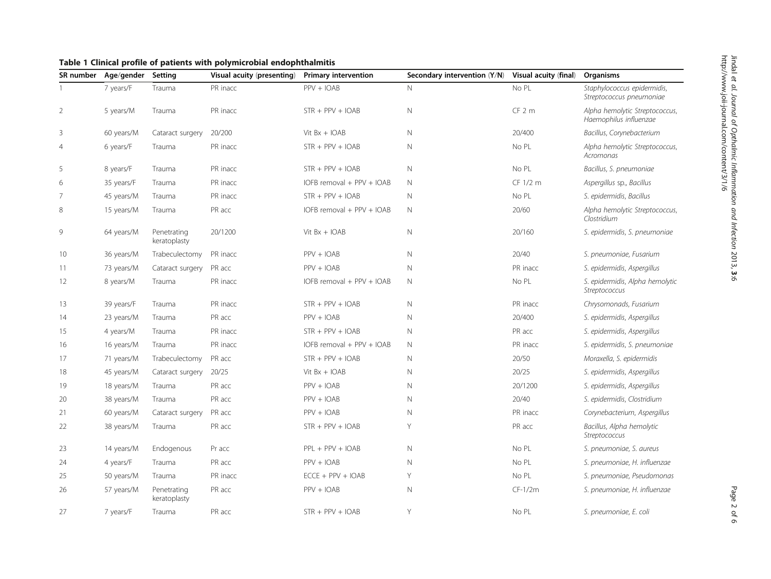| SR number      | Age/gender | Setting                     | Visual acuity (presenting) | <b>Primary intervention</b>   | Secondary intervention (Y/N) | Visual acuity (final) | Organisms                                                |
|----------------|------------|-----------------------------|----------------------------|-------------------------------|------------------------------|-----------------------|----------------------------------------------------------|
|                | 7 years/F  | Trauma                      | PR inacc                   | $PPV + IOAB$                  | N                            | No PL                 | Staphylococcus epidermidis,<br>Streptococcus pneumoniae  |
| $\overline{2}$ | 5 years/M  | Trauma                      | PR inacc                   | $STR + PPV + IOAB$            | $\mathbb N$                  | $CF2$ m               | Alpha hemolytic Streptococcus,<br>Haemophilus influenzae |
| 3              | 60 years/M | Cataract surgery            | 20/200                     | Vit $Bx + IOAB$               | N                            | 20/400                | Bacillus, Corynebacterium                                |
| $\overline{4}$ | 6 years/F  | Trauma                      | PR inacc                   | $STR + PPV + IOAB$            | N                            | No PL                 | Alpha hemolytic Streptococcus,<br>Acromonas              |
| 5              | 8 years/F  | Trauma                      | PR inacc                   | $STR + PPV + IOAB$            | $\mathbb N$                  | No PL                 | Bacillus, S. pneumoniae                                  |
| 6              | 35 years/F | Trauma                      | PR inacc                   | IOFB removal + PPV + IOAB     | N                            | CF 1/2 m              | Aspergillus sp., Bacillus                                |
| 7              | 45 years/M | Trauma                      | PR inacc                   | $STR + PPV + IOAB$            | N                            | No PL                 | S. epidermidis, Bacillus                                 |
| 8              | 15 years/M | Trauma                      | PR acc                     | IOFB removal $+$ PPV $+$ IOAB | N                            | 20/60                 | Alpha hemolytic Streptococcus,<br>Clostridium            |
| 9              | 64 years/M | Penetrating<br>keratoplasty | 20/1200                    | Vit $Bx + IOAB$               | $\mathbb N$                  | 20/160                | S. epidermidis, S. pneumoniae                            |
| 10             | 36 years/M | Trabeculectomy              | PR inacc                   | $PPV + IOAB$                  | N                            | 20/40                 | S. pneumoniae, Fusarium                                  |
| 11             | 73 years/M | Cataract surgery            | PR acc                     | $PPV + IOAB$                  | N                            | PR inacc              | S. epidermidis, Aspergillus                              |
| 12             | 8 years/M  | Trauma                      | PR inacc                   | IOFB removal $+$ PPV $+$ IOAB | N                            | No PL                 | S. epidermidis, Alpha hemolytic<br>Streptococcus         |
| 13             | 39 years/F | Trauma                      | PR inacc                   | $STR + PPV + IOAB$            | $\mathbb N$                  | PR inacc              | Chrysomonads, Fusarium                                   |
| 14             | 23 years/M | Trauma                      | PR acc                     | $PPV + IOAB$                  | $\mathbb N$                  | 20/400                | S. epidermidis, Aspergillus                              |
| 15             | 4 years/M  | Trauma                      | PR inacc                   | $STR + PPV + IOAB$            | $\mathbb N$                  | PR acc                | S. epidermidis, Aspergillus                              |
| 16             | 16 years/M | Trauma                      | PR inacc                   | IOFB removal + PPV + IOAB     | $\mathbb N$                  | PR inacc              | S. epidermidis, S. pneumoniae                            |
| 17             | 71 years/M | Trabeculectomy              | PR acc                     | $STR + PPV + IOAB$            | N                            | 20/50                 | Moraxella, S. epidermidis                                |
| 18             | 45 years/M | Cataract surgery            | 20/25                      | Vit $Bx + IOAB$               | N                            | 20/25                 | S. epidermidis, Aspergillus                              |
| 19             | 18 years/M | Trauma                      | PR acc                     | $PPV + IOAB$                  | N                            | 20/1200               | S. epidermidis, Aspergillus                              |
| 20             | 38 years/M | Trauma                      | PR acc                     | $PPV + IOAB$                  | $\mathbb N$                  | 20/40                 | S. epidermidis, Clostridium                              |
| 21             | 60 years/M | Cataract surgery            | PR acc                     | $PPV + IOAB$                  | $\mathbb N$                  | PR inacc              | Corynebacterium, Aspergillus                             |
| 22             | 38 years/M | Trauma                      | PR acc                     | $STR + PPV + IOAB$            | Y                            | PR acc                | Bacillus, Alpha hemolytic<br>Streptococcus               |
| 23             | 14 years/M | Endogenous                  | Pr acc                     | $PPL + PPV + IOAB$            | N                            | No PL                 | S. pneumoniae, S. aureus                                 |
| 24             | 4 years/F  | Trauma                      | PR acc                     | $PPV + IOAB$                  | $\mathbb N$                  | No PL                 | S. pneumoniae, H. influenzae                             |
| 25             | 50 years/M | Trauma                      | PR inacc                   | $ECCE + PPV + IOAB$           | Y                            | No PL                 | S. pneumoniae, Pseudomonas                               |
| 26             | 57 years/M | Penetrating<br>keratoplasty | PR acc                     | $PPV + IOAB$                  | Ν                            | $CF-1/2m$             | S. pneumoniae, H. influenzae                             |
| 27             | 7 years/F  | Trauma                      | PR acc                     | $STR + PPV + IOAB$            | Y                            | No PL                 | S. pneumoniae, E. coli                                   |

<span id="page-1-0"></span>Table 1 Clinical profile of patients with polymicrobial endophthalmitis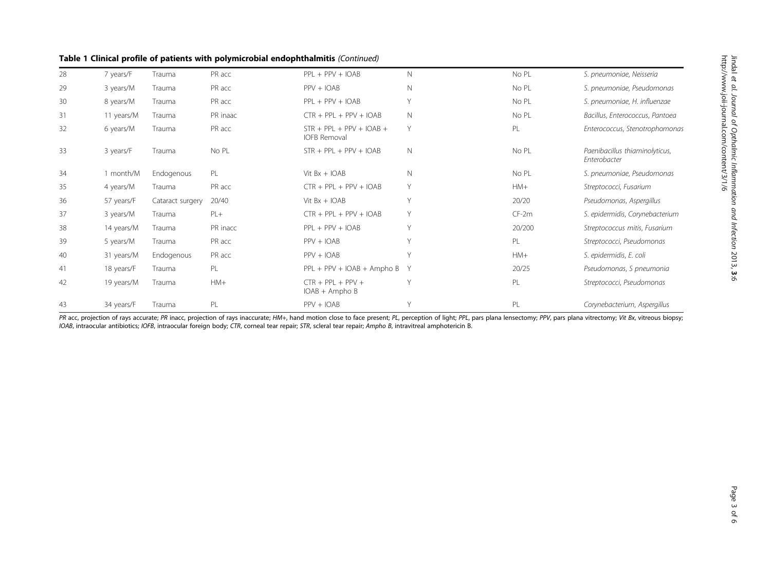|  |  |  |  |  |  | Table 1 Clinical profile of patients with polymicrobial endophthalmitis (Continued) |  |
|--|--|--|--|--|--|-------------------------------------------------------------------------------------|--|
|--|--|--|--|--|--|-------------------------------------------------------------------------------------|--|

| S. pneumoniae, Neisseria                       |
|------------------------------------------------|
|                                                |
| S. pneumoniae, Pseudomonas                     |
| S. pneumoniae, H. influenzae                   |
| Bacillus, Enterococcus, Pantoea                |
| Enterococcus, Stenotrophomonas                 |
| Paenibacillus thiaminolyticus,<br>Enterobacter |
| S. pneumoniae, Pseudomonas                     |
| Streptococci, Fusarium                         |
| Pseudomonas, Aspergillus                       |
| S. epidermidis, Corynebacterium                |
| Streptococcus mitis, Fusarium                  |
| Streptococci, Pseudomonas                      |
| S. epidermidis, E. coli                        |
| Pseudomonas, S pneumonia                       |
| Streptococci, Pseudomonas                      |
| Corynebacterium, Aspergillus                   |
|                                                |

PR acc, projection of rays accurate; PR inacc, projection of rays inaccurate; HM+, hand motion close to face present; PL, perception of light; PPL, pars plana lensectomy; PPV, pars plana vitrectomy; Vit Bx, vitreous biopsy IOAB, intraocular antibiotics; IOFB, intraocular foreign body; CTR, corneal tear repair; STR, scleral tear repair; Ampho B, intravitreal amphotericin B.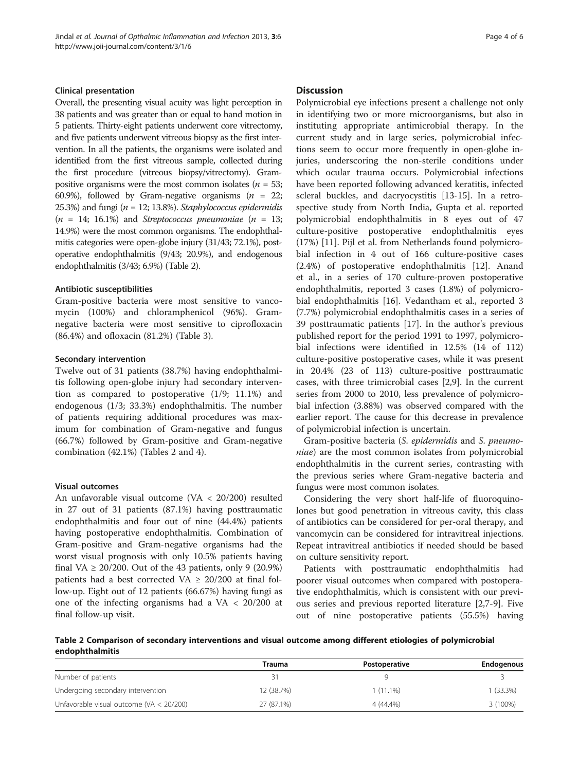### Clinical presentation

Overall, the presenting visual acuity was light perception in 38 patients and was greater than or equal to hand motion in 5 patients. Thirty-eight patients underwent core vitrectomy, and five patients underwent vitreous biopsy as the first intervention. In all the patients, the organisms were isolated and identified from the first vitreous sample, collected during the first procedure (vitreous biopsy/vitrectomy). Grampositive organisms were the most common isolates ( $n = 53$ ; 60.9%), followed by Gram-negative organisms ( $n = 22$ ; 25.3%) and fungi ( $n = 12$ ; 13.8%). Staphylococcus epidermidis  $(n = 14; 16.1%)$  and Streptococcus pneumoniae  $(n = 13;$ 14.9%) were the most common organisms. The endophthalmitis categories were open-globe injury (31/43; 72.1%), postoperative endophthalmitis (9/43; 20.9%), and endogenous endophthalmitis (3/43; 6.9%) (Table 2).

## Antibiotic susceptibilities

Gram-positive bacteria were most sensitive to vancomycin (100%) and chloramphenicol (96%). Gramnegative bacteria were most sensitive to ciprofloxacin (86.4%) and ofloxacin (81.2%) (Table [3](#page-4-0)).

#### Secondary intervention

Twelve out of 31 patients (38.7%) having endophthalmitis following open-globe injury had secondary intervention as compared to postoperative (1/9; 11.1%) and endogenous (1/3; 33.3%) endophthalmitis. The number of patients requiring additional procedures was maximum for combination of Gram-negative and fungus (66.7%) followed by Gram-positive and Gram-negative combination (42.1%) (Tables 2 and [4\)](#page-4-0).

# Visual outcomes

An unfavorable visual outcome (VA < 20/200) resulted in 27 out of 31 patients (87.1%) having posttraumatic endophthalmitis and four out of nine (44.4%) patients having postoperative endophthalmitis. Combination of Gram-positive and Gram-negative organisms had the worst visual prognosis with only 10.5% patients having final VA  $\geq$  20/200. Out of the 43 patients, only 9 (20.9%) patients had a best corrected VA  $\geq$  20/200 at final follow-up. Eight out of 12 patients (66.67%) having fungi as one of the infecting organisms had a VA < 20/200 at final follow-up visit.

# **Discussion**

Polymicrobial eye infections present a challenge not only in identifying two or more microorganisms, but also in instituting appropriate antimicrobial therapy. In the current study and in large series, polymicrobial infections seem to occur more frequently in open-globe injuries, underscoring the non-sterile conditions under which ocular trauma occurs. Polymicrobial infections have been reported following advanced keratitis, infected scleral buckles, and dacryocystitis [[13](#page-5-0)-[15\]](#page-5-0). In a retrospective study from North India, Gupta et al. reported polymicrobial endophthalmitis in 8 eyes out of 47 culture-positive postoperative endophthalmitis eyes (17%) [[11\]](#page-5-0). Pijl et al. from Netherlands found polymicrobial infection in 4 out of 166 culture-positive cases (2.4%) of postoperative endophthalmitis [\[12](#page-5-0)]. Anand et al., in a series of 170 culture-proven postoperative endophthalmitis, reported 3 cases (1.8%) of polymicrobial endophthalmitis [\[16\]](#page-5-0). Vedantham et al., reported 3 (7.7%) polymicrobial endophthalmitis cases in a series of 39 posttraumatic patients [[17](#page-5-0)]. In the author's previous published report for the period 1991 to 1997, polymicrobial infections were identified in 12.5% (14 of 112) culture-positive postoperative cases, while it was present in 20.4% (23 of 113) culture-positive posttraumatic cases, with three trimicrobial cases [\[2,9\]](#page-5-0). In the current series from 2000 to 2010, less prevalence of polymicrobial infection (3.88%) was observed compared with the earlier report. The cause for this decrease in prevalence of polymicrobial infection is uncertain.

Gram-positive bacteria (S. epidermidis and S. pneumoniae) are the most common isolates from polymicrobial endophthalmitis in the current series, contrasting with the previous series where Gram-negative bacteria and fungus were most common isolates.

Considering the very short half-life of fluoroquinolones but good penetration in vitreous cavity, this class of antibiotics can be considered for per-oral therapy, and vancomycin can be considered for intravitreal injections. Repeat intravitreal antibiotics if needed should be based on culture sensitivity report.

Patients with posttraumatic endophthalmitis had poorer visual outcomes when compared with postoperative endophthalmitis, which is consistent with our previous series and previous reported literature [\[2,7-9](#page-5-0)]. Five out of nine postoperative patients (55.5%) having

Table 2 Comparison of secondary interventions and visual outcome among different etiologies of polymicrobial endophthalmitis

|                                              | Trauma     | Postoperative | <b>Endogenous</b> |
|----------------------------------------------|------------|---------------|-------------------|
| Number of patients                           |            |               |                   |
| Undergoing secondary intervention            | 12 (38.7%) | $1(11.1\%)$   | $(33.3\%)$        |
| Unfavorable visual outcome ( $VA < 20/200$ ) | 27 (87.1%) | $4(44.4\%)$   | 3 (100%)          |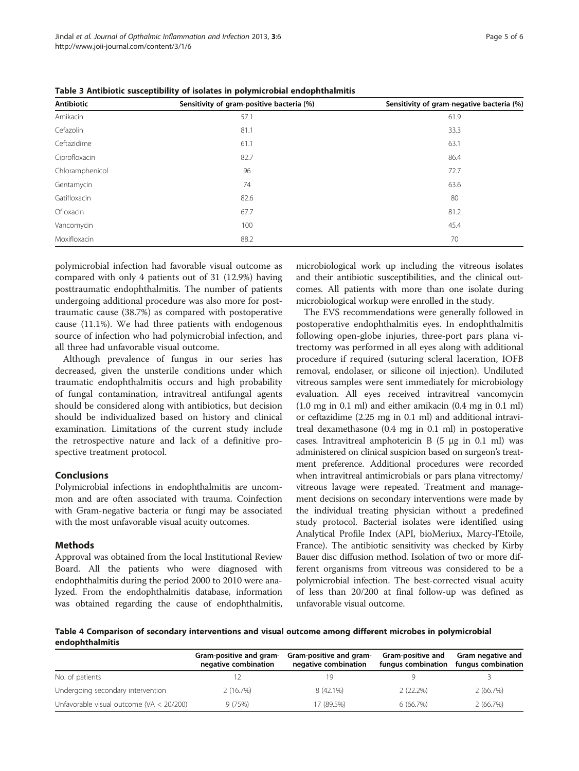| Antibiotic      | Sensitivity of gram-positive bacteria (%) | Sensitivity of gram-negative bacteria (%) |  |
|-----------------|-------------------------------------------|-------------------------------------------|--|
| Amikacin        | 57.1                                      | 61.9                                      |  |
| Cefazolin       | 81.1                                      | 33.3                                      |  |
| Ceftazidime     | 61.1                                      | 63.1                                      |  |
| Ciprofloxacin   | 82.7                                      | 86.4                                      |  |
| Chloramphenicol | 96                                        | 72.7                                      |  |
| Gentamycin      | 74                                        | 63.6                                      |  |
| Gatifloxacin    | 82.6                                      | 80                                        |  |
| Ofloxacin       | 67.7                                      | 81.2                                      |  |
| Vancomycin      | 100                                       | 45.4                                      |  |
| Moxifloxacin    | 88.2                                      | 70                                        |  |

<span id="page-4-0"></span>Table 3 Antibiotic susceptibility of isolates in polymicrobial endophthalmitis

polymicrobial infection had favorable visual outcome as compared with only 4 patients out of 31 (12.9%) having posttraumatic endophthalmitis. The number of patients undergoing additional procedure was also more for posttraumatic cause (38.7%) as compared with postoperative cause (11.1%). We had three patients with endogenous source of infection who had polymicrobial infection, and all three had unfavorable visual outcome.

Although prevalence of fungus in our series has decreased, given the unsterile conditions under which traumatic endophthalmitis occurs and high probability of fungal contamination, intravitreal antifungal agents should be considered along with antibiotics, but decision should be individualized based on history and clinical examination. Limitations of the current study include the retrospective nature and lack of a definitive prospective treatment protocol.

# Conclusions

Polymicrobial infections in endophthalmitis are uncommon and are often associated with trauma. Coinfection with Gram-negative bacteria or fungi may be associated with the most unfavorable visual acuity outcomes.

# Methods

Approval was obtained from the local Institutional Review Board. All the patients who were diagnosed with endophthalmitis during the period 2000 to 2010 were analyzed. From the endophthalmitis database, information was obtained regarding the cause of endophthalmitis, microbiological work up including the vitreous isolates and their antibiotic susceptibilities, and the clinical outcomes. All patients with more than one isolate during microbiological workup were enrolled in the study.

The EVS recommendations were generally followed in postoperative endophthalmitis eyes. In endophthalmitis following open-globe injuries, three-port pars plana vitrectomy was performed in all eyes along with additional procedure if required (suturing scleral laceration, IOFB removal, endolaser, or silicone oil injection). Undiluted vitreous samples were sent immediately for microbiology evaluation. All eyes received intravitreal vancomycin (1.0 mg in 0.1 ml) and either amikacin (0.4 mg in 0.1 ml) or ceftazidime (2.25 mg in 0.1 ml) and additional intravitreal dexamethasone (0.4 mg in 0.1 ml) in postoperative cases. Intravitreal amphotericin B (5 μg in 0.1 ml) was administered on clinical suspicion based on surgeon's treatment preference. Additional procedures were recorded when intravitreal antimicrobials or pars plana vitrectomy/ vitreous lavage were repeated. Treatment and management decisions on secondary interventions were made by the individual treating physician without a predefined study protocol. Bacterial isolates were identified using Analytical Profile Index (API, bioMeriux, Marcy-l'Etoile, France). The antibiotic sensitivity was checked by Kirby Bauer disc diffusion method. Isolation of two or more different organisms from vitreous was considered to be a polymicrobial infection. The best-corrected visual acuity of less than 20/200 at final follow-up was defined as unfavorable visual outcome.

Table 4 Comparison of secondary interventions and visual outcome among different microbes in polymicrobial endophthalmitis

|                                              | Gram-positive and gram-<br>negative combination | Gram-positive and gram-<br>negative combination | Gram-positive and<br>fungus combination | Gram negative and<br>fungus combination |
|----------------------------------------------|-------------------------------------------------|-------------------------------------------------|-----------------------------------------|-----------------------------------------|
| No. of patients                              |                                                 |                                                 |                                         |                                         |
| Undergoing secondary intervention            | 2(16.7%)                                        | 8 (42.1%)                                       | $2(22.2\%)$                             | 2 (66.7%)                               |
| Unfavorable visual outcome ( $VA < 20/200$ ) | 9(75%)                                          | 17 (89.5%)                                      | 6(66.7%)                                | 2(66.7%)                                |